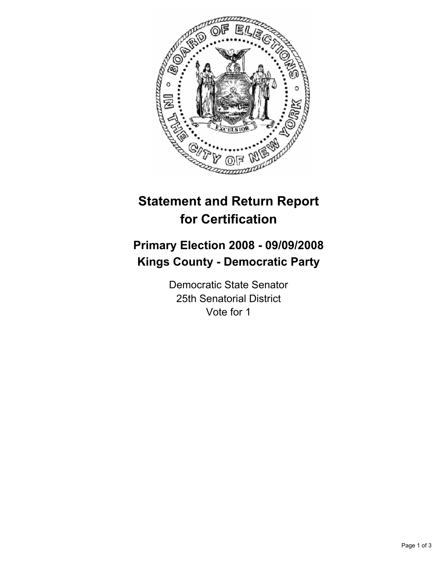

# **Statement and Return Report for Certification**

## **Primary Election 2008 - 09/09/2008 Kings County - Democratic Party**

Democratic State Senator 25th Senatorial District Vote for 1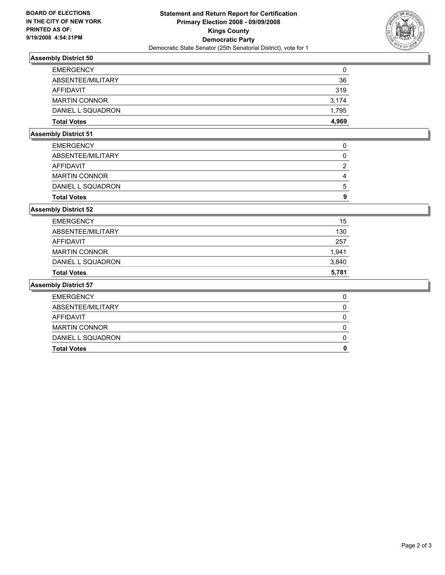

### **Assembly District 50**

| <b>Total Votes</b>   | 4,969 |
|----------------------|-------|
| DANIEL L SQUADRON    | 1,795 |
| <b>MARTIN CONNOR</b> | 3,174 |
| AFFIDAVIT            | 319   |
| ABSENTEE/MILITARY    | 36    |
| <b>EMERGENCY</b>     | 0     |

#### **Assembly District 51**

| .                    |  |
|----------------------|--|
| <b>EMERGENCY</b>     |  |
| ABSENTEE/MILITARY    |  |
| AFFIDAVIT            |  |
| <b>MARTIN CONNOR</b> |  |
| DANIEL L SQUADRON    |  |
| <b>Total Votes</b>   |  |

#### **Assembly District 52**

| <b>EMERGENCY</b>     | 15    |
|----------------------|-------|
| ABSENTEE/MILITARY    | 130   |
| <b>AFFIDAVIT</b>     | 257   |
| <b>MARTIN CONNOR</b> | 1,941 |
| DANIEL L SQUADRON    | 3,840 |
| <b>Total Votes</b>   | 5,781 |

#### **Assembly District 57**

| <b>EMERGENCY</b>     |  |
|----------------------|--|
| ABSENTEE/MILITARY    |  |
| AFFIDAVIT            |  |
| <b>MARTIN CONNOR</b> |  |
| DANIEL L SQUADRON    |  |
| <b>Total Votes</b>   |  |